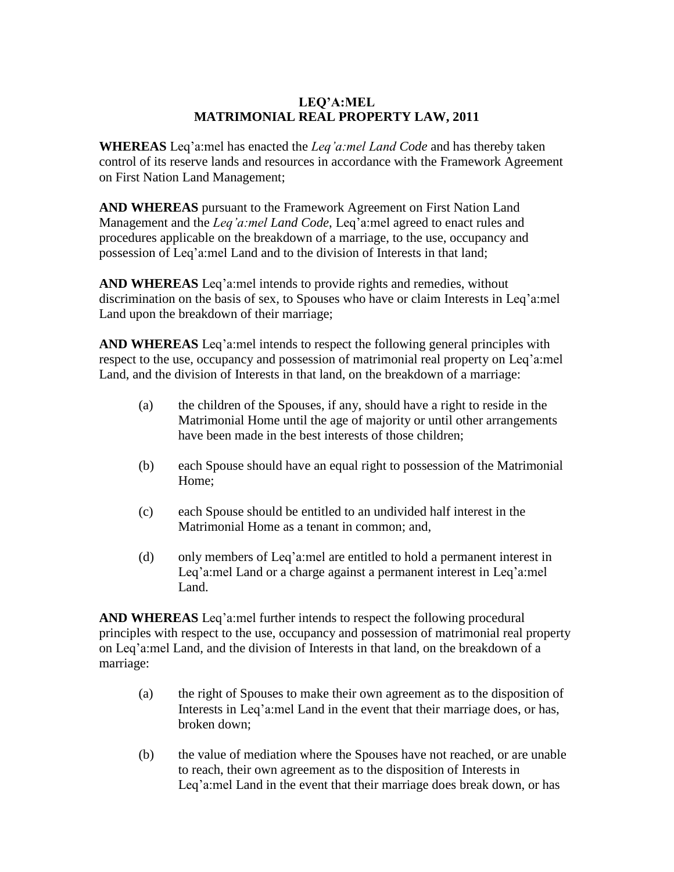## **LEQ'A:MEL MATRIMONIAL REAL PROPERTY LAW, 2011**

**WHEREAS** Leq'a:mel has enacted the *Leq'a:mel Land Code* and has thereby taken control of its reserve lands and resources in accordance with the Framework Agreement on First Nation Land Management;

**AND WHEREAS** pursuant to the Framework Agreement on First Nation Land Management and the *Leq'a:mel Land Code*, Leq'a:mel agreed to enact rules and procedures applicable on the breakdown of a marriage, to the use, occupancy and possession of Leq'a:mel Land and to the division of Interests in that land;

**AND WHEREAS** Leq'a:mel intends to provide rights and remedies, without discrimination on the basis of sex, to Spouses who have or claim Interests in Leq'a:mel Land upon the breakdown of their marriage;

**AND WHEREAS** Leq'a:mel intends to respect the following general principles with respect to the use, occupancy and possession of matrimonial real property on Leq'a:mel Land, and the division of Interests in that land, on the breakdown of a marriage:

- (a) the children of the Spouses, if any, should have a right to reside in the Matrimonial Home until the age of majority or until other arrangements have been made in the best interests of those children;
- (b) each Spouse should have an equal right to possession of the Matrimonial Home;
- (c) each Spouse should be entitled to an undivided half interest in the Matrimonial Home as a tenant in common; and,
- (d) only members of Leq'a:mel are entitled to hold a permanent interest in Leq'a:mel Land or a charge against a permanent interest in Leq'a:mel Land.

**AND WHEREAS** Leq'a:mel further intends to respect the following procedural principles with respect to the use, occupancy and possession of matrimonial real property on Leq'a:mel Land, and the division of Interests in that land, on the breakdown of a marriage:

- (a) the right of Spouses to make their own agreement as to the disposition of Interests in Leq'a:mel Land in the event that their marriage does, or has, broken down;
- (b) the value of mediation where the Spouses have not reached, or are unable to reach, their own agreement as to the disposition of Interests in Leq'a:mel Land in the event that their marriage does break down, or has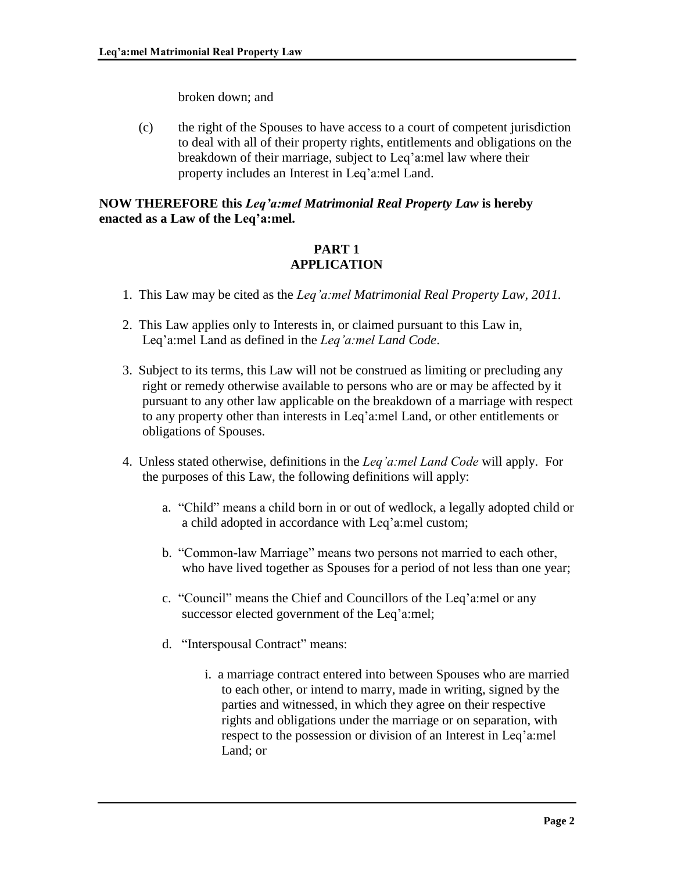broken down; and

(c) the right of the Spouses to have access to a court of competent jurisdiction to deal with all of their property rights, entitlements and obligations on the breakdown of their marriage, subject to Leq'a:mel law where their property includes an Interest in Leq'a:mel Land.

#### **NOW THEREFORE this** *Leq'a:mel Matrimonial Real Property Law* **is hereby enacted as a Law of the Leq'a:mel.**

## **PART 1 APPLICATION**

- 1. This Law may be cited as the *Leq'a:mel Matrimonial Real Property Law, 2011.*
- 2. This Law applies only to Interests in, or claimed pursuant to this Law in, Leq'a:mel Land as defined in the *Leq'a:mel Land Code*.
- 3. Subject to its terms, this Law will not be construed as limiting or precluding any right or remedy otherwise available to persons who are or may be affected by it pursuant to any other law applicable on the breakdown of a marriage with respect to any property other than interests in Leq'a:mel Land, or other entitlements or obligations of Spouses.
- 4. Unless stated otherwise, definitions in the *Leq'a:mel Land Code* will apply. For the purposes of this Law, the following definitions will apply:
	- a. "Child" means a child born in or out of wedlock, a legally adopted child or a child adopted in accordance with Leq'a:mel custom;
	- b. "Common-law Marriage" means two persons not married to each other, who have lived together as Spouses for a period of not less than one year;
	- c. "Council" means the Chief and Councillors of the Leq'a:mel or any successor elected government of the Leq'a:mel;
	- d. "Interspousal Contract" means:
		- i. a marriage contract entered into between Spouses who are married to each other, or intend to marry, made in writing, signed by the parties and witnessed, in which they agree on their respective rights and obligations under the marriage or on separation, with respect to the possession or division of an Interest in Leq'a:mel Land; or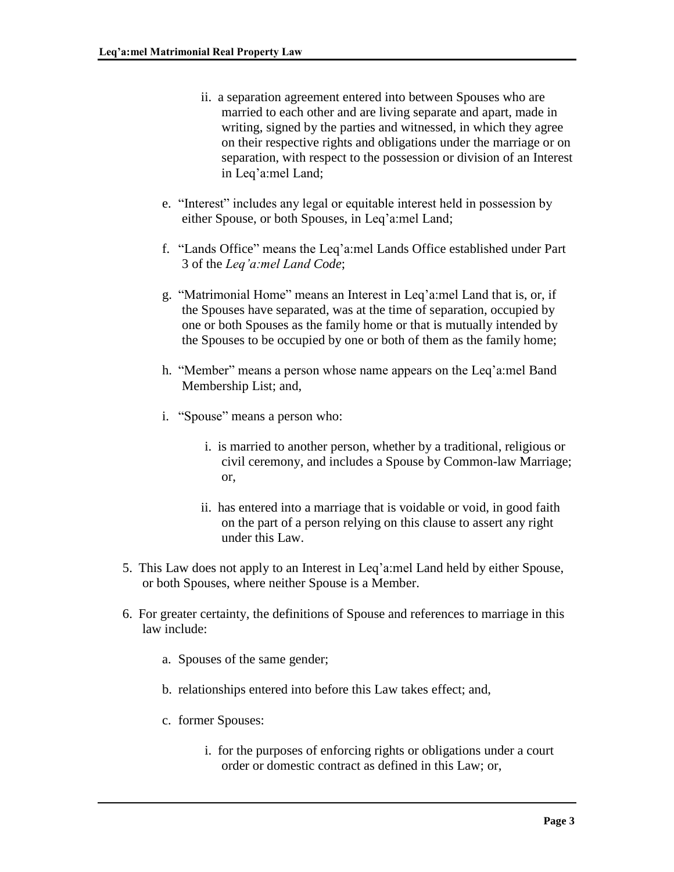- ii. a separation agreement entered into between Spouses who are married to each other and are living separate and apart, made in writing, signed by the parties and witnessed, in which they agree on their respective rights and obligations under the marriage or on separation, with respect to the possession or division of an Interest in Leq'a:mel Land;
- e. "Interest" includes any legal or equitable interest held in possession by either Spouse, or both Spouses, in Leq'a:mel Land;
- f. "Lands Office" means the Leq'a:mel Lands Office established under Part 3 of the *Leq'a:mel Land Code*;
- g. "Matrimonial Home" means an Interest in Leq'a:mel Land that is, or, if the Spouses have separated, was at the time of separation, occupied by one or both Spouses as the family home or that is mutually intended by the Spouses to be occupied by one or both of them as the family home;
- h. "Member" means a person whose name appears on the Leq'a:mel Band Membership List; and,
- i. "Spouse" means a person who:
	- i. is married to another person, whether by a traditional, religious or civil ceremony, and includes a Spouse by Common-law Marriage; or,
	- ii. has entered into a marriage that is voidable or void, in good faith on the part of a person relying on this clause to assert any right under this Law.
- 5. This Law does not apply to an Interest in Leq'a:mel Land held by either Spouse, or both Spouses, where neither Spouse is a Member.
- 6. For greater certainty, the definitions of Spouse and references to marriage in this law include:
	- a. Spouses of the same gender;
	- b. relationships entered into before this Law takes effect; and,
	- c. former Spouses:
		- i. for the purposes of enforcing rights or obligations under a court order or domestic contract as defined in this Law; or,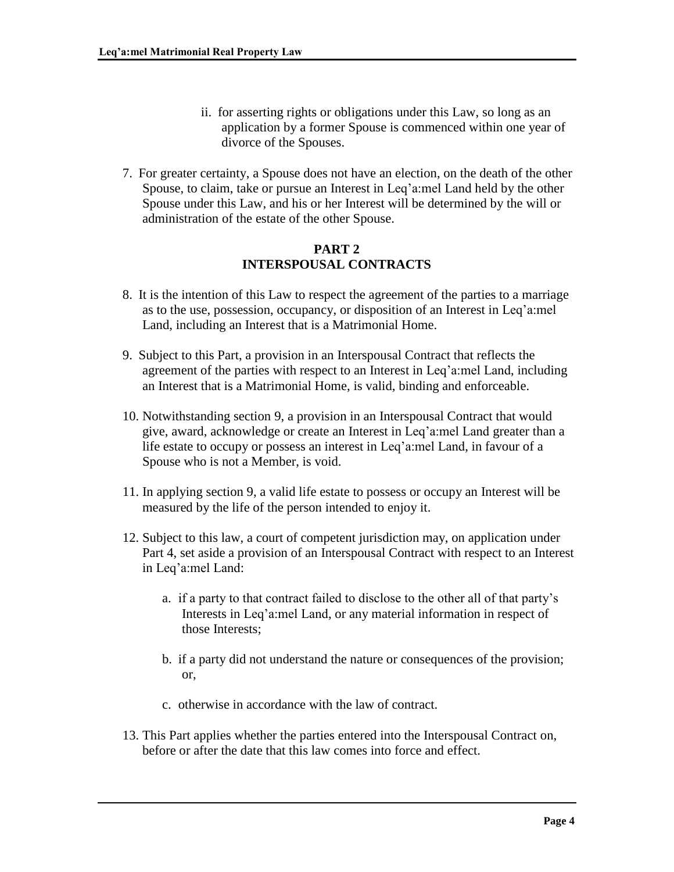- ii. for asserting rights or obligations under this Law, so long as an application by a former Spouse is commenced within one year of divorce of the Spouses.
- 7. For greater certainty, a Spouse does not have an election, on the death of the other Spouse, to claim, take or pursue an Interest in Leq'a:mel Land held by the other Spouse under this Law, and his or her Interest will be determined by the will or administration of the estate of the other Spouse.

# **PART 2 INTERSPOUSAL CONTRACTS**

- 8. It is the intention of this Law to respect the agreement of the parties to a marriage as to the use, possession, occupancy, or disposition of an Interest in Leq'a:mel Land, including an Interest that is a Matrimonial Home.
- 9. Subject to this Part, a provision in an Interspousal Contract that reflects the agreement of the parties with respect to an Interest in Leq'a:mel Land, including an Interest that is a Matrimonial Home, is valid, binding and enforceable.
- 10. Notwithstanding section 9, a provision in an Interspousal Contract that would give, award, acknowledge or create an Interest in Leq'a:mel Land greater than a life estate to occupy or possess an interest in Leq'a:mel Land, in favour of a Spouse who is not a Member, is void.
- 11. In applying section 9, a valid life estate to possess or occupy an Interest will be measured by the life of the person intended to enjoy it.
- 12. Subject to this law, a court of competent jurisdiction may, on application under Part 4, set aside a provision of an Interspousal Contract with respect to an Interest in Leq'a:mel Land:
	- a. if a party to that contract failed to disclose to the other all of that party's Interests in Leq'a:mel Land, or any material information in respect of those Interests;
	- b. if a party did not understand the nature or consequences of the provision; or,
	- c. otherwise in accordance with the law of contract.
- 13. This Part applies whether the parties entered into the Interspousal Contract on, before or after the date that this law comes into force and effect.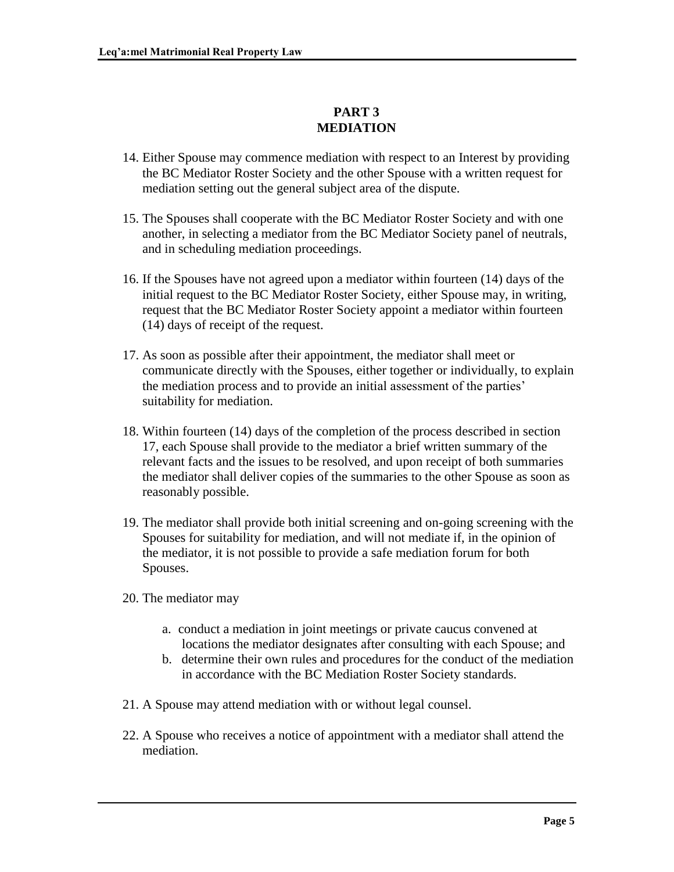# **PART 3 MEDIATION**

- 14. Either Spouse may commence mediation with respect to an Interest by providing the BC Mediator Roster Society and the other Spouse with a written request for mediation setting out the general subject area of the dispute.
- 15. The Spouses shall cooperate with the BC Mediator Roster Society and with one another, in selecting a mediator from the BC Mediator Society panel of neutrals, and in scheduling mediation proceedings.
- 16. If the Spouses have not agreed upon a mediator within fourteen (14) days of the initial request to the BC Mediator Roster Society, either Spouse may, in writing, request that the BC Mediator Roster Society appoint a mediator within fourteen (14) days of receipt of the request.
- 17. As soon as possible after their appointment, the mediator shall meet or communicate directly with the Spouses, either together or individually, to explain the mediation process and to provide an initial assessment of the parties' suitability for mediation.
- 18. Within fourteen (14) days of the completion of the process described in section 17, each Spouse shall provide to the mediator a brief written summary of the relevant facts and the issues to be resolved, and upon receipt of both summaries the mediator shall deliver copies of the summaries to the other Spouse as soon as reasonably possible.
- 19. The mediator shall provide both initial screening and on-going screening with the Spouses for suitability for mediation, and will not mediate if, in the opinion of the mediator, it is not possible to provide a safe mediation forum for both Spouses.
- 20. The mediator may
	- a. conduct a mediation in joint meetings or private caucus convened at locations the mediator designates after consulting with each Spouse; and
	- b. determine their own rules and procedures for the conduct of the mediation in accordance with the BC Mediation Roster Society standards.
- 21. A Spouse may attend mediation with or without legal counsel.
- 22. A Spouse who receives a notice of appointment with a mediator shall attend the mediation.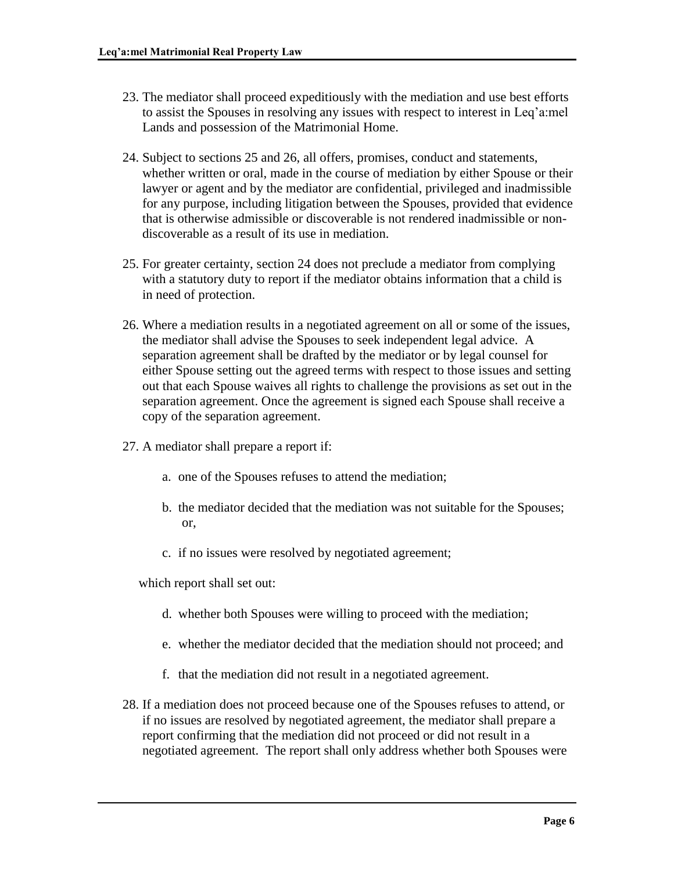- 23. The mediator shall proceed expeditiously with the mediation and use best efforts to assist the Spouses in resolving any issues with respect to interest in Leq'a:mel Lands and possession of the Matrimonial Home.
- 24. Subject to sections 25 and 26, all offers, promises, conduct and statements, whether written or oral, made in the course of mediation by either Spouse or their lawyer or agent and by the mediator are confidential, privileged and inadmissible for any purpose, including litigation between the Spouses, provided that evidence that is otherwise admissible or discoverable is not rendered inadmissible or nondiscoverable as a result of its use in mediation.
- 25. For greater certainty, section 24 does not preclude a mediator from complying with a statutory duty to report if the mediator obtains information that a child is in need of protection.
- 26. Where a mediation results in a negotiated agreement on all or some of the issues, the mediator shall advise the Spouses to seek independent legal advice. A separation agreement shall be drafted by the mediator or by legal counsel for either Spouse setting out the agreed terms with respect to those issues and setting out that each Spouse waives all rights to challenge the provisions as set out in the separation agreement. Once the agreement is signed each Spouse shall receive a copy of the separation agreement.
- 27. A mediator shall prepare a report if:
	- a. one of the Spouses refuses to attend the mediation;
	- b. the mediator decided that the mediation was not suitable for the Spouses; or,
	- c. if no issues were resolved by negotiated agreement;

which report shall set out:

- d. whether both Spouses were willing to proceed with the mediation;
- e. whether the mediator decided that the mediation should not proceed; and
- f. that the mediation did not result in a negotiated agreement.
- 28. If a mediation does not proceed because one of the Spouses refuses to attend, or if no issues are resolved by negotiated agreement, the mediator shall prepare a report confirming that the mediation did not proceed or did not result in a negotiated agreement. The report shall only address whether both Spouses were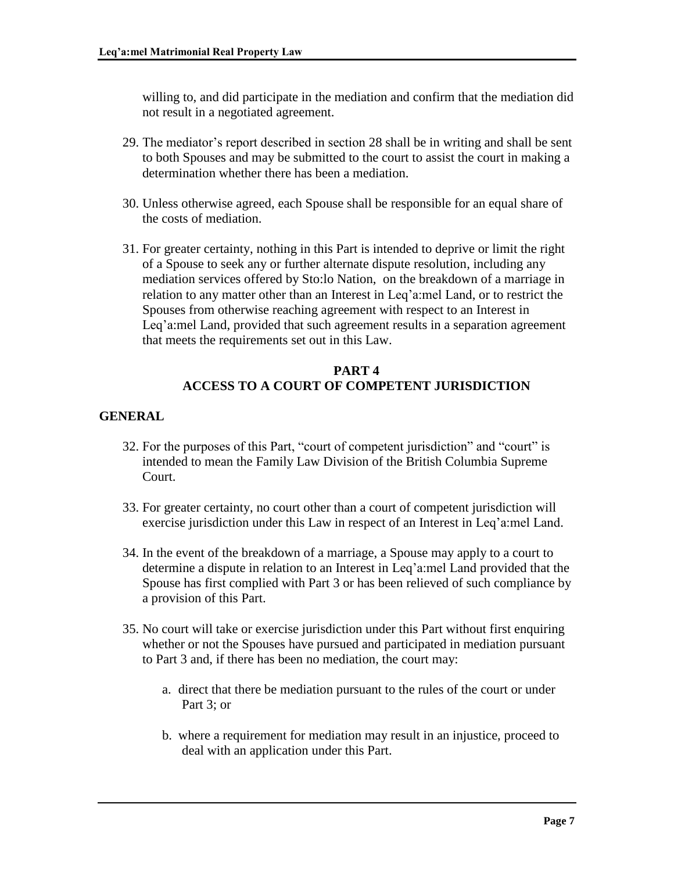willing to, and did participate in the mediation and confirm that the mediation did not result in a negotiated agreement.

- 29. The mediator's report described in section 28 shall be in writing and shall be sent to both Spouses and may be submitted to the court to assist the court in making a determination whether there has been a mediation.
- 30. Unless otherwise agreed, each Spouse shall be responsible for an equal share of the costs of mediation.
- 31. For greater certainty, nothing in this Part is intended to deprive or limit the right of a Spouse to seek any or further alternate dispute resolution, including any mediation services offered by Sto:lo Nation, on the breakdown of a marriage in relation to any matter other than an Interest in Leq'a:mel Land, or to restrict the Spouses from otherwise reaching agreement with respect to an Interest in Leq'a:mel Land, provided that such agreement results in a separation agreement that meets the requirements set out in this Law.

# **PART 4 ACCESS TO A COURT OF COMPETENT JURISDICTION**

# **GENERAL**

- 32. For the purposes of this Part, "court of competent jurisdiction" and "court" is intended to mean the Family Law Division of the British Columbia Supreme Court.
- 33. For greater certainty, no court other than a court of competent jurisdiction will exercise jurisdiction under this Law in respect of an Interest in Leq'a:mel Land.
- 34. In the event of the breakdown of a marriage, a Spouse may apply to a court to determine a dispute in relation to an Interest in Leq'a:mel Land provided that the Spouse has first complied with Part 3 or has been relieved of such compliance by a provision of this Part.
- 35. No court will take or exercise jurisdiction under this Part without first enquiring whether or not the Spouses have pursued and participated in mediation pursuant to Part 3 and, if there has been no mediation, the court may:
	- a. direct that there be mediation pursuant to the rules of the court or under Part 3; or
	- b. where a requirement for mediation may result in an injustice, proceed to deal with an application under this Part.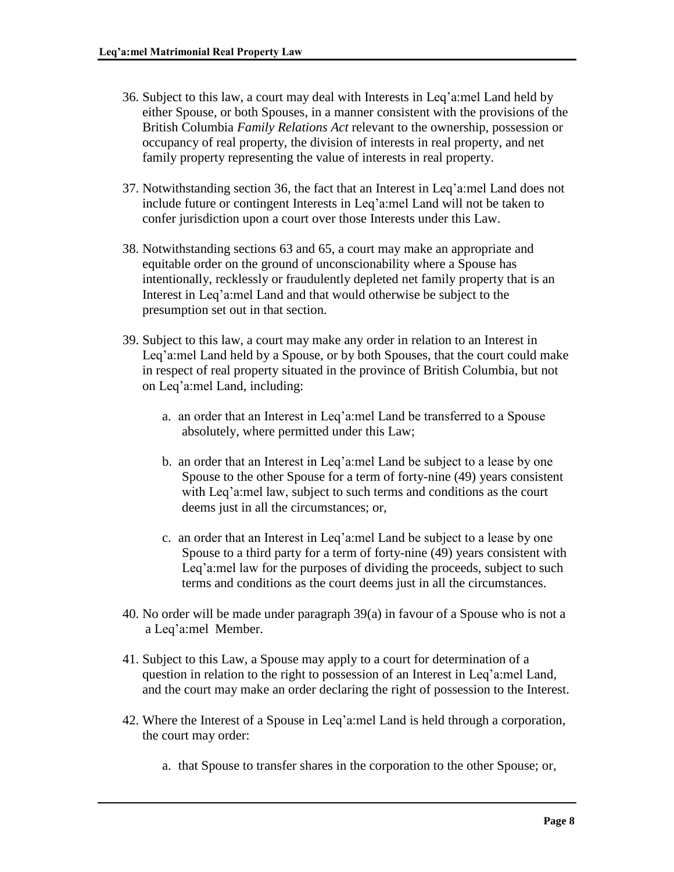- 36. Subject to this law, a court may deal with Interests in Leq'a:mel Land held by either Spouse, or both Spouses, in a manner consistent with the provisions of the British Columbia *Family Relations Act* relevant to the ownership, possession or occupancy of real property, the division of interests in real property, and net family property representing the value of interests in real property.
- 37. Notwithstanding section 36, the fact that an Interest in Leq'a:mel Land does not include future or contingent Interests in Leq'a:mel Land will not be taken to confer jurisdiction upon a court over those Interests under this Law.
- 38. Notwithstanding sections 63 and 65, a court may make an appropriate and equitable order on the ground of unconscionability where a Spouse has intentionally, recklessly or fraudulently depleted net family property that is an Interest in Leq'a:mel Land and that would otherwise be subject to the presumption set out in that section.
- 39. Subject to this law, a court may make any order in relation to an Interest in Leq'a:mel Land held by a Spouse, or by both Spouses, that the court could make in respect of real property situated in the province of British Columbia, but not on Leq'a:mel Land, including:
	- a. an order that an Interest in Leq'a:mel Land be transferred to a Spouse absolutely, where permitted under this Law;
	- b. an order that an Interest in Leq'a:mel Land be subject to a lease by one Spouse to the other Spouse for a term of forty-nine (49) years consistent with Leq'a:mel law, subject to such terms and conditions as the court deems just in all the circumstances; or,
	- c. an order that an Interest in Leq'a:mel Land be subject to a lease by one Spouse to a third party for a term of forty-nine (49) years consistent with Leq'a:mel law for the purposes of dividing the proceeds, subject to such terms and conditions as the court deems just in all the circumstances.
- 40. No order will be made under paragraph 39(a) in favour of a Spouse who is not a a Leq'a:mel Member.
- 41. Subject to this Law, a Spouse may apply to a court for determination of a question in relation to the right to possession of an Interest in Leq'a:mel Land, and the court may make an order declaring the right of possession to the Interest.
- 42. Where the Interest of a Spouse in Leq'a:mel Land is held through a corporation, the court may order:
	- a. that Spouse to transfer shares in the corporation to the other Spouse; or,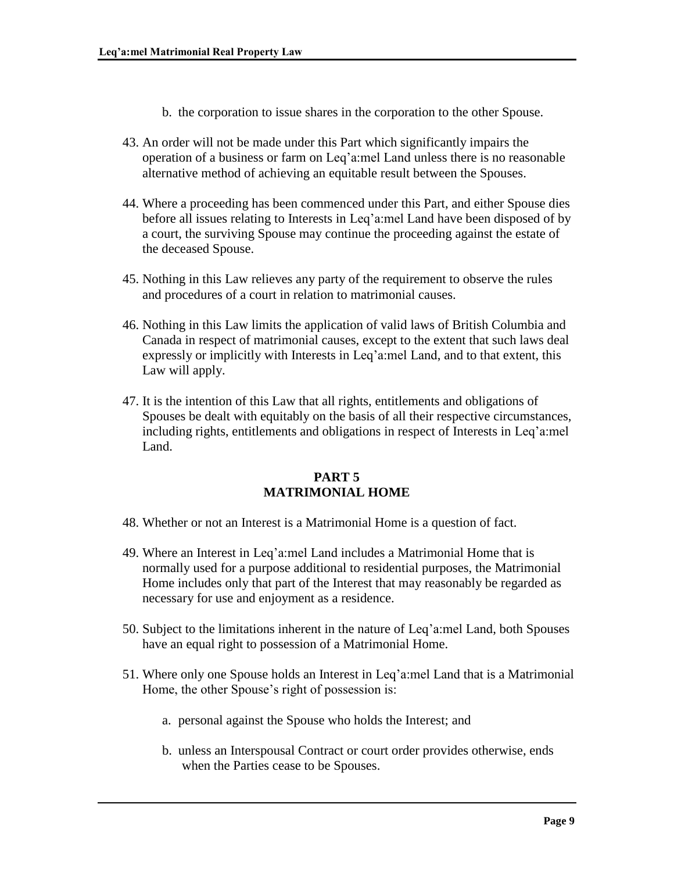- b. the corporation to issue shares in the corporation to the other Spouse.
- 43. An order will not be made under this Part which significantly impairs the operation of a business or farm on Leq'a:mel Land unless there is no reasonable alternative method of achieving an equitable result between the Spouses.
- 44. Where a proceeding has been commenced under this Part, and either Spouse dies before all issues relating to Interests in Leq'a:mel Land have been disposed of by a court, the surviving Spouse may continue the proceeding against the estate of the deceased Spouse.
- 45. Nothing in this Law relieves any party of the requirement to observe the rules and procedures of a court in relation to matrimonial causes.
- 46. Nothing in this Law limits the application of valid laws of British Columbia and Canada in respect of matrimonial causes, except to the extent that such laws deal expressly or implicitly with Interests in Leq'a:mel Land, and to that extent, this Law will apply.
- 47. It is the intention of this Law that all rights, entitlements and obligations of Spouses be dealt with equitably on the basis of all their respective circumstances, including rights, entitlements and obligations in respect of Interests in Leq'a:mel Land.

#### **PART 5 MATRIMONIAL HOME**

- 48. Whether or not an Interest is a Matrimonial Home is a question of fact.
- 49. Where an Interest in Leq'a:mel Land includes a Matrimonial Home that is normally used for a purpose additional to residential purposes, the Matrimonial Home includes only that part of the Interest that may reasonably be regarded as necessary for use and enjoyment as a residence.
- 50. Subject to the limitations inherent in the nature of Leq'a:mel Land, both Spouses have an equal right to possession of a Matrimonial Home.
- 51. Where only one Spouse holds an Interest in Leq'a:mel Land that is a Matrimonial Home, the other Spouse's right of possession is:
	- a. personal against the Spouse who holds the Interest; and
	- b. unless an Interspousal Contract or court order provides otherwise, ends when the Parties cease to be Spouses.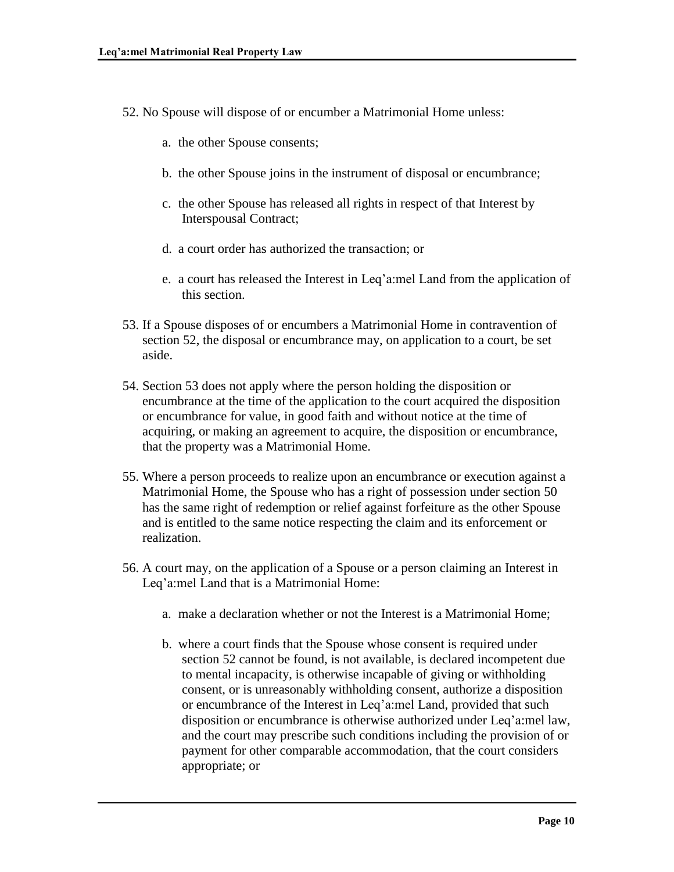- 52. No Spouse will dispose of or encumber a Matrimonial Home unless:
	- a. the other Spouse consents;
	- b. the other Spouse joins in the instrument of disposal or encumbrance;
	- c. the other Spouse has released all rights in respect of that Interest by Interspousal Contract;
	- d. a court order has authorized the transaction; or
	- e. a court has released the Interest in Leq'a:mel Land from the application of this section.
- 53. If a Spouse disposes of or encumbers a Matrimonial Home in contravention of section 52, the disposal or encumbrance may, on application to a court, be set aside.
- 54. Section 53 does not apply where the person holding the disposition or encumbrance at the time of the application to the court acquired the disposition or encumbrance for value, in good faith and without notice at the time of acquiring, or making an agreement to acquire, the disposition or encumbrance, that the property was a Matrimonial Home.
- 55. Where a person proceeds to realize upon an encumbrance or execution against a Matrimonial Home, the Spouse who has a right of possession under section 50 has the same right of redemption or relief against forfeiture as the other Spouse and is entitled to the same notice respecting the claim and its enforcement or realization.
- 56. A court may, on the application of a Spouse or a person claiming an Interest in Leq'a:mel Land that is a Matrimonial Home:
	- a. make a declaration whether or not the Interest is a Matrimonial Home;
	- b. where a court finds that the Spouse whose consent is required under section 52 cannot be found, is not available, is declared incompetent due to mental incapacity, is otherwise incapable of giving or withholding consent, or is unreasonably withholding consent, authorize a disposition or encumbrance of the Interest in Leq'a:mel Land, provided that such disposition or encumbrance is otherwise authorized under Leq'a:mel law, and the court may prescribe such conditions including the provision of or payment for other comparable accommodation, that the court considers appropriate; or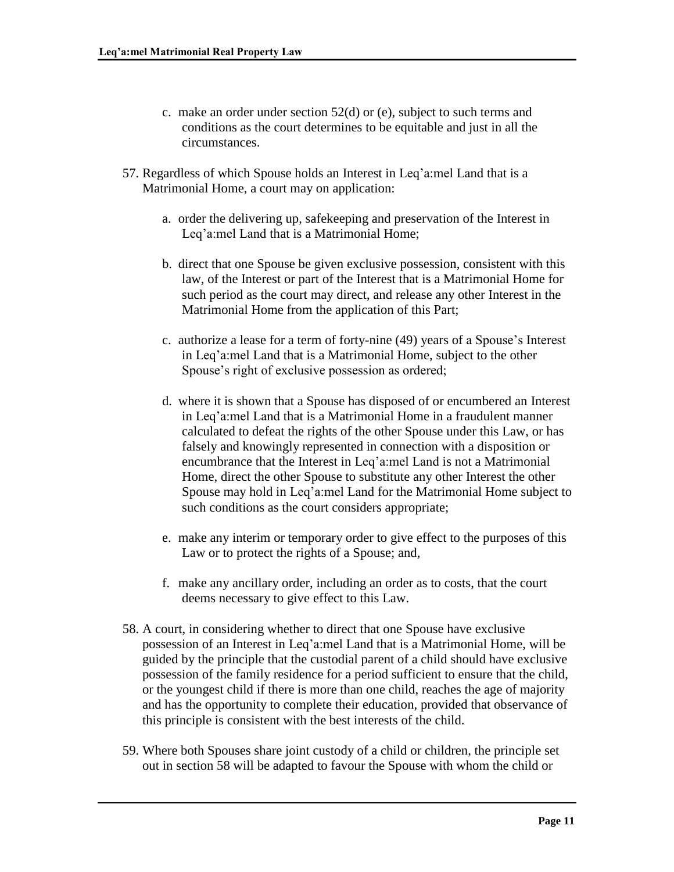- c. make an order under section 52(d) or (e), subject to such terms and conditions as the court determines to be equitable and just in all the circumstances.
- 57. Regardless of which Spouse holds an Interest in Leq'a:mel Land that is a Matrimonial Home, a court may on application:
	- a. order the delivering up, safekeeping and preservation of the Interest in Leq'a:mel Land that is a Matrimonial Home;
	- b. direct that one Spouse be given exclusive possession, consistent with this law, of the Interest or part of the Interest that is a Matrimonial Home for such period as the court may direct, and release any other Interest in the Matrimonial Home from the application of this Part;
	- c. authorize a lease for a term of forty-nine (49) years of a Spouse's Interest in Leq'a:mel Land that is a Matrimonial Home, subject to the other Spouse's right of exclusive possession as ordered;
	- d. where it is shown that a Spouse has disposed of or encumbered an Interest in Leq'a:mel Land that is a Matrimonial Home in a fraudulent manner calculated to defeat the rights of the other Spouse under this Law, or has falsely and knowingly represented in connection with a disposition or encumbrance that the Interest in Leq'a:mel Land is not a Matrimonial Home, direct the other Spouse to substitute any other Interest the other Spouse may hold in Leq'a:mel Land for the Matrimonial Home subject to such conditions as the court considers appropriate;
	- e. make any interim or temporary order to give effect to the purposes of this Law or to protect the rights of a Spouse; and,
	- f. make any ancillary order, including an order as to costs, that the court deems necessary to give effect to this Law.
- 58. A court, in considering whether to direct that one Spouse have exclusive possession of an Interest in Leq'a:mel Land that is a Matrimonial Home, will be guided by the principle that the custodial parent of a child should have exclusive possession of the family residence for a period sufficient to ensure that the child, or the youngest child if there is more than one child, reaches the age of majority and has the opportunity to complete their education, provided that observance of this principle is consistent with the best interests of the child.
- 59. Where both Spouses share joint custody of a child or children, the principle set out in section 58 will be adapted to favour the Spouse with whom the child or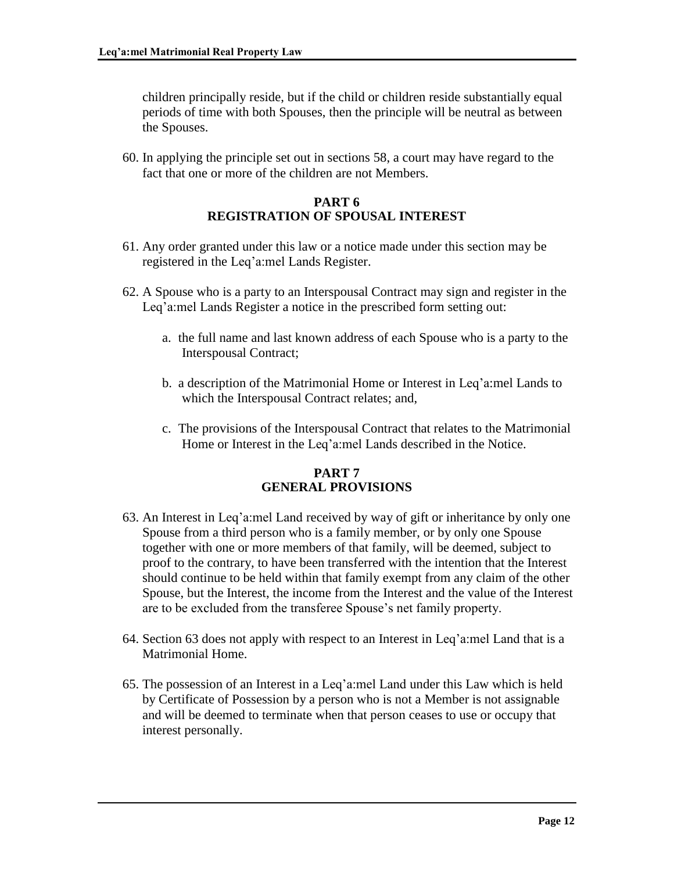children principally reside, but if the child or children reside substantially equal periods of time with both Spouses, then the principle will be neutral as between the Spouses.

60. In applying the principle set out in sections 58, a court may have regard to the fact that one or more of the children are not Members.

### **PART 6 REGISTRATION OF SPOUSAL INTEREST**

- 61. Any order granted under this law or a notice made under this section may be registered in the Leq'a:mel Lands Register.
- 62. A Spouse who is a party to an Interspousal Contract may sign and register in the Leq'a:mel Lands Register a notice in the prescribed form setting out:
	- a. the full name and last known address of each Spouse who is a party to the Interspousal Contract;
	- b. a description of the Matrimonial Home or Interest in Leq'a:mel Lands to which the Interspousal Contract relates; and,
	- c. The provisions of the Interspousal Contract that relates to the Matrimonial Home or Interest in the Leq'a:mel Lands described in the Notice.

# **PART 7 GENERAL PROVISIONS**

- 63. An Interest in Leq'a:mel Land received by way of gift or inheritance by only one Spouse from a third person who is a family member, or by only one Spouse together with one or more members of that family, will be deemed, subject to proof to the contrary, to have been transferred with the intention that the Interest should continue to be held within that family exempt from any claim of the other Spouse, but the Interest, the income from the Interest and the value of the Interest are to be excluded from the transferee Spouse's net family property.
- 64. Section 63 does not apply with respect to an Interest in Leq'a:mel Land that is a Matrimonial Home.
- 65. The possession of an Interest in a Leq'a:mel Land under this Law which is held by Certificate of Possession by a person who is not a Member is not assignable and will be deemed to terminate when that person ceases to use or occupy that interest personally.